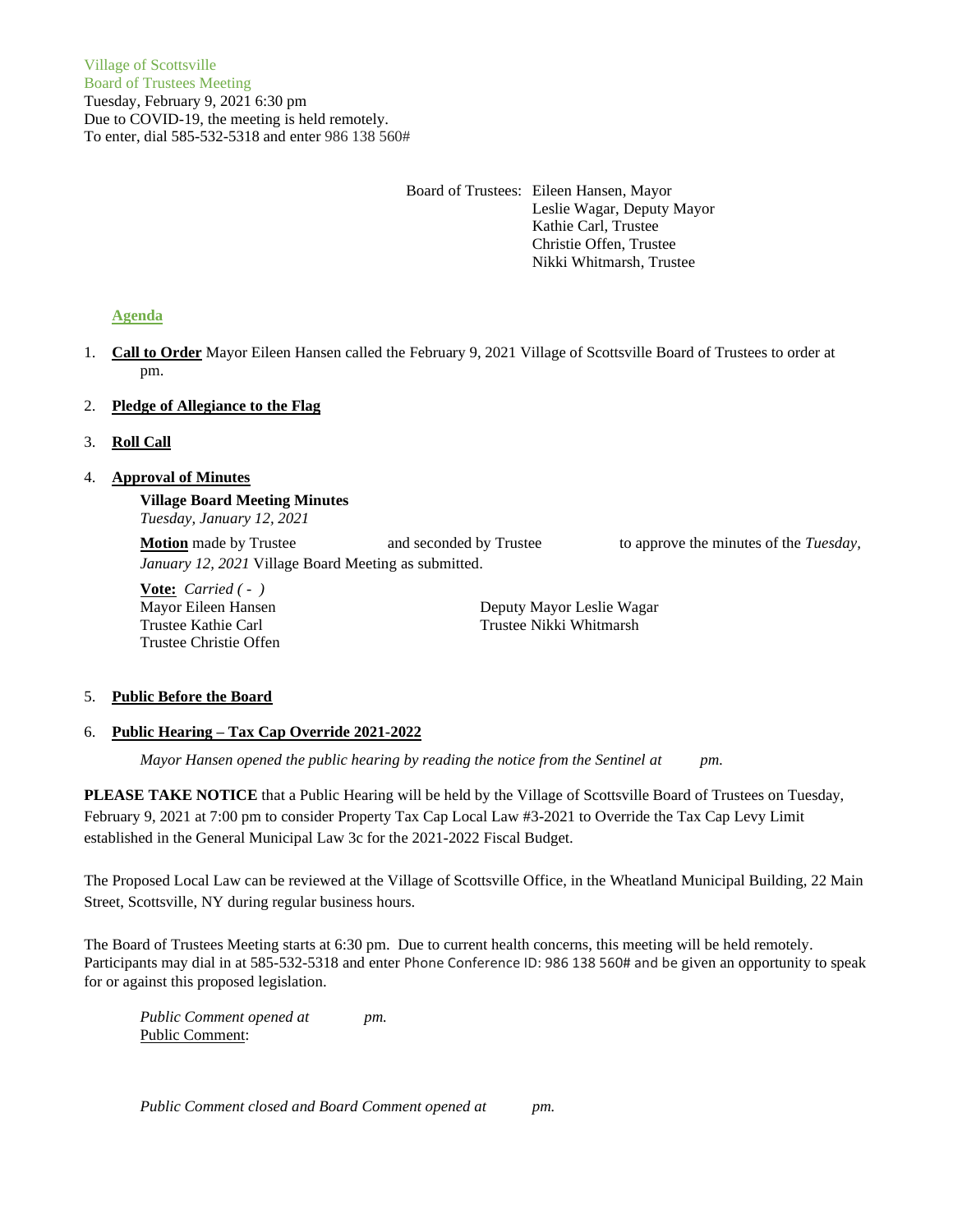Board of Trustees: Eileen Hansen, Mayor Leslie Wagar, Deputy Mayor Kathie Carl, Trustee Christie Offen, Trustee Nikki Whitmarsh, Trustee

# **Agenda**

1. **Call to Order** Mayor Eileen Hansen called the February 9, 2021 Village of Scottsville Board of Trustees to order at pm.

## 2. **Pledge of Allegiance to the Flag**

3. **Roll Call**

# 4. **Approval of Minutes**

**Village Board Meeting Minutes** *Tuesday, January 12, 2021*

**Motion** made by Trustee and seconded by Trustee to approve the minutes of the *Tuesday*, *January 12, 2021* Village Board Meeting as submitted.

**Vote:** *Carried ( - )* Trustee Christie Offen

Mayor Eileen Hansen **Deputy Mayor Leslie Wagar** Trustee Kathie Carl Trustee Nikki Whitmarsh

## 5. **Public Before the Board**

## 6. **Public Hearing – Tax Cap Override 2021-2022**

*Mayor Hansen opened the public hearing by reading the notice from the Sentinel at pm.*

PLEASE TAKE NOTICE that a Public Hearing will be held by the Village of Scottsville Board of Trustees on Tuesday, February 9, 2021 at 7:00 pm to consider Property Tax Cap Local Law #3-2021 to Override the Tax Cap Levy Limit established in the General Municipal Law 3c for the 2021-2022 Fiscal Budget.

The Proposed Local Law can be reviewed at the Village of Scottsville Office, in the Wheatland Municipal Building, 22 Main Street, Scottsville, NY during regular business hours.

The Board of Trustees Meeting starts at 6:30 pm. Due to current health concerns, this meeting will be held remotely. Participants may dial in at 585-532-5318 and enter Phone Conference ID: 986 138 560# and be given an opportunity to speak for or against this proposed legislation.

*Public Comment opened at pm.* Public Comment:

*Public Comment closed and Board Comment opened at pm.*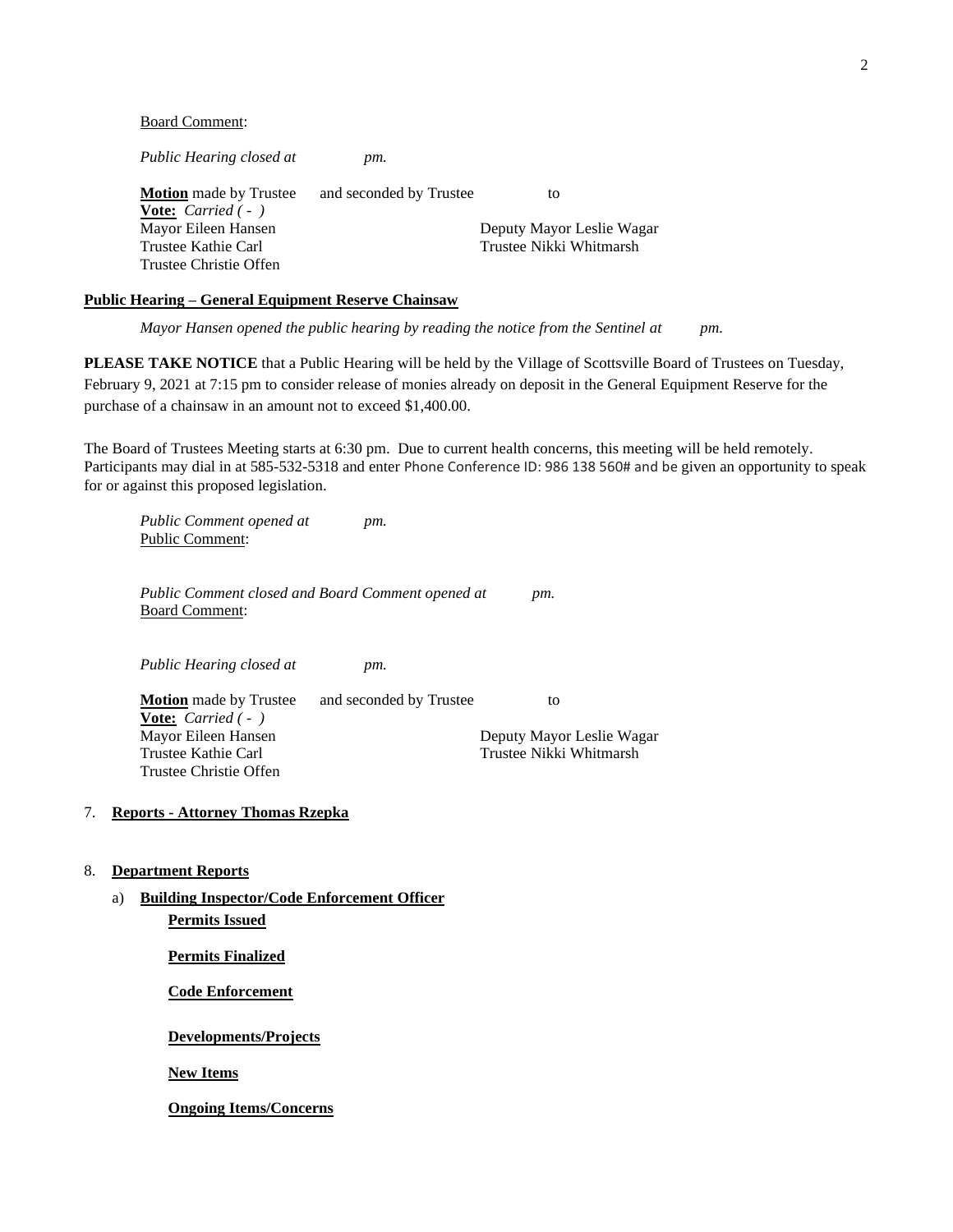#### Board Comment:

*Public Hearing closed at pm.*

| <b>Motion</b> made by Trustee     | and seconded by Trustee | to                        |
|-----------------------------------|-------------------------|---------------------------|
| <b>Vote:</b> <i>Carried</i> $(-)$ |                         |                           |
| Mayor Eileen Hansen               |                         | Deputy Mayor Leslie Wagar |
| Trustee Kathie Carl               |                         | Trustee Nikki Whitmarsh   |
| Trustee Christie Offen            |                         |                           |

## **Public Hearing – General Equipment Reserve Chainsaw**

*Mayor Hansen opened the public hearing by reading the notice from the Sentinel at pm.*

**PLEASE TAKE NOTICE** that a Public Hearing will be held by the Village of Scottsville Board of Trustees on Tuesday, February 9, 2021 at 7:15 pm to consider release of monies already on deposit in the General Equipment Reserve for the purchase of a chainsaw in an amount not to exceed \$1,400.00.

The Board of Trustees Meeting starts at 6:30 pm. Due to current health concerns, this meeting will be held remotely. Participants may dial in at 585-532-5318 and enter Phone Conference ID: 986 138 560# and be given an opportunity to speak for or against this proposed legislation.

*Public Comment opened at pm.* Public Comment:

*Public Comment closed and Board Comment opened at pm.* Board Comment:

*Public Hearing closed at pm.*

**Motion** made by Trustee and seconded by Trustee to **Vote:** *Carried ( - )* Mayor Eileen Hansen **Deputy Mayor Leslie Wagar** Trustee Kathie Carl Trustee Nikki Whitmarsh Trustee Christie Offen

#### 7. **Reports - Attorney Thomas Rzepka**

## 8. **Department Reports**

a) **Building Inspector/Code Enforcement Officer Permits Issued**

**Permits Finalized**

**Code Enforcement**

**Developments/Projects**

**New Items**

**Ongoing Items/Concerns**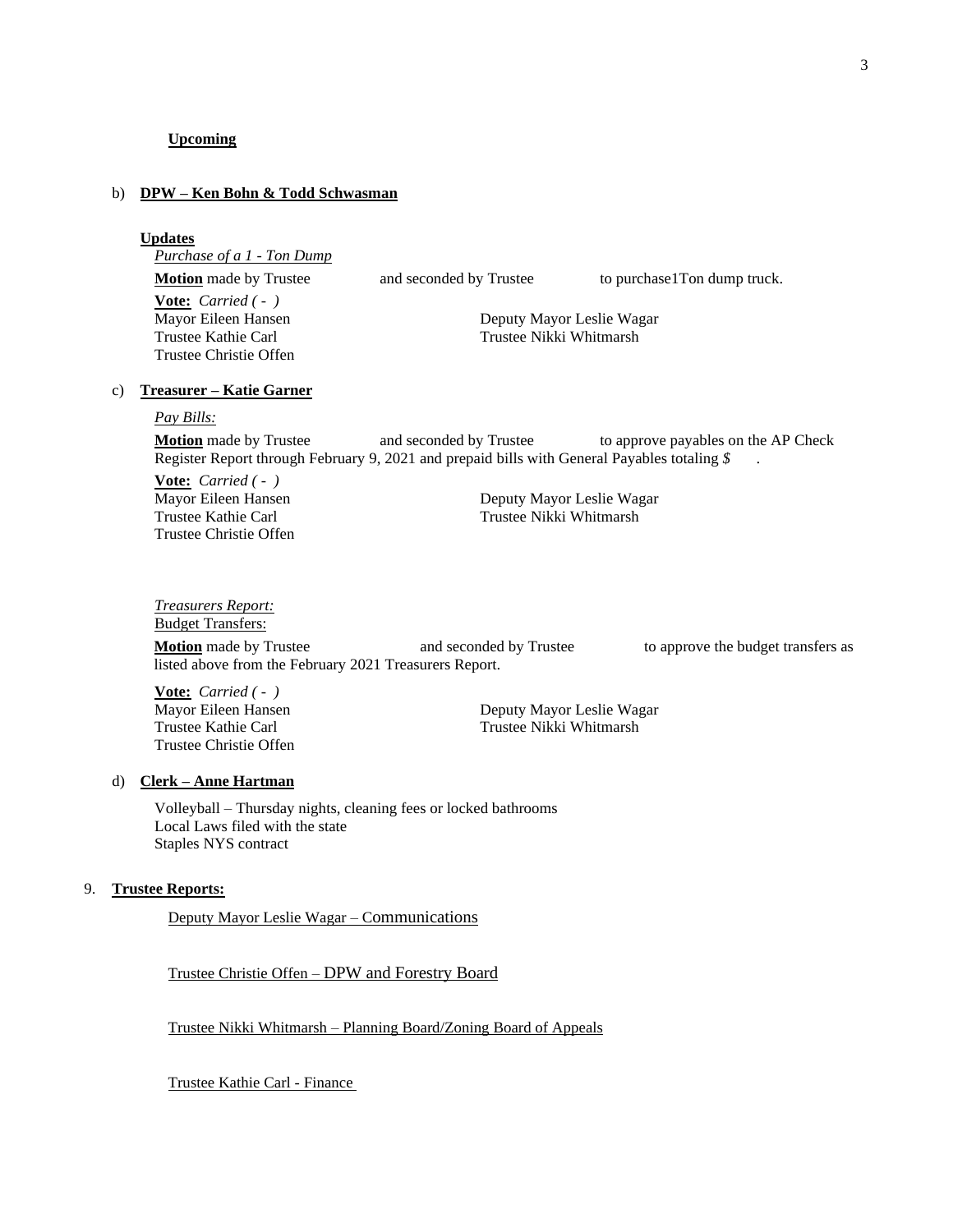### b) **DPW – Ken Bohn & Todd Schwasman**

#### **Updates**

*Purchase of a 1 - Ton Dump* **Motion** made by Trustee and seconded by Trustee to purchase1Ton dump truck. **Vote:** *Carried ( - )* Mayor Eileen Hansen Deputy Mayor Leslie Wagar Trustee Kathie Carl Trustee Nikki Whitmarsh Trustee Christie Offen

## c) **Treasurer – Katie Garner**

#### *Pay Bills:*

**Motion** made by Trustee and seconded by Trustee to approve payables on the AP Check Register Report through February 9, 2021 and prepaid bills with General Payables totaling *\$* .

**Vote:** *Carried ( - )* Trustee Christie Offen

Mayor Eileen Hansen<br>
Trustee Kathie Carl<br>
Trustee Nikki Whitmarsh Trustee Nikki Whitmarsh

## *Treasurers Report:*

Budget Transfers:

**Motion** made by Trustee and seconded by Trustee to approve the budget transfers as listed above from the February 2021 Treasurers Report.

**Vote:** *Carried ( - )* Trustee Christie Offen

Mayor Eileen Hansen Deputy Mayor Leslie Wagar Trustee Kathie Carl Trustee Nikki Whitmarsh

#### d) **Clerk – Anne Hartman**

Volleyball – Thursday nights, cleaning fees or locked bathrooms Local Laws filed with the state Staples NYS contract

#### 9. **Trustee Reports:**

Deputy Mayor Leslie Wagar – Communications

Trustee Christie Offen – DPW and Forestry Board

Trustee Nikki Whitmarsh – Planning Board/Zoning Board of Appeals

Trustee Kathie Carl - Finance